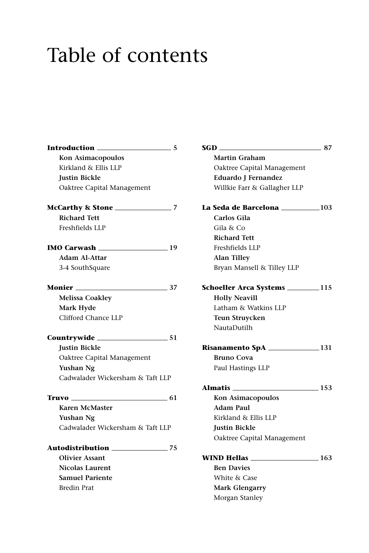## Table of contents

| Introduction ______<br>$\sim$ 5  | SGD – SGD<br>87                       |  |
|----------------------------------|---------------------------------------|--|
| Kon Asimacopoulos                | Martin Graham                         |  |
| Kirkland & Ellis LLP             | Oaktree Capital Management            |  |
| <b>Justin Bickle</b>             | Eduardo J Fernandez                   |  |
| Oaktree Capital Management       | Willkie Farr & Gallagher LLP          |  |
|                                  | La Seda de Barcelona ___________103   |  |
| <b>Richard Tett</b>              | Carlos Gila                           |  |
| Freshfields LLP                  | Gila & Co                             |  |
|                                  | <b>Richard Tett</b>                   |  |
| IMO Carwash 19                   | Freshfields LLP                       |  |
| Adam Al-Attar                    | <b>Alan Tilley</b>                    |  |
| 3-4 SouthSquare                  | Bryan Mansell & Tilley LLP            |  |
| <b>Monier</b> 37                 | Schoeller Arca Systems ___________115 |  |
| <b>Melissa Coakley</b>           | <b>Holly Neavill</b>                  |  |
| Mark Hyde                        | Latham & Watkins LLP                  |  |
| Clifford Chance LLP              | Teun Struycken                        |  |
|                                  | NautaDutilh                           |  |
|                                  |                                       |  |
| <b>Justin Bickle</b>             | Risanamento SpA _______________131    |  |
| Oaktree Capital Management       | <b>Bruno Cova</b>                     |  |
| Yushan Ng                        | Paul Hastings LLP                     |  |
| Cadwalader Wickersham & Taft LLP |                                       |  |
|                                  |                                       |  |
|                                  | Kon Asimacopoulos                     |  |
| Karen McMaster                   | Adam Paul                             |  |
| Yushan Ng                        | Kirkland & Ellis LLP                  |  |
| Cadwalader Wickersham & Taft LLP | <b>Justin Bickle</b>                  |  |
|                                  | Oaktree Capital Management            |  |
|                                  |                                       |  |
| <b>Olivier Assant</b>            |                                       |  |
| <b>Nicolas Laurent</b>           | <b>Ben Davies</b>                     |  |
| <b>Samuel Pariente</b>           | White & Case                          |  |
| <b>Bredin Prat</b>               | Mark Glengarry                        |  |
|                                  |                                       |  |

| 74D -                                 | $\delta$   |
|---------------------------------------|------------|
| Martin Graham                         |            |
| Oaktree Capital Management            |            |
| Eduardo J Fernandez                   |            |
| Willkie Farr & Gallagher LLP          |            |
| La Seda de Barcelona _____________103 |            |
| Carlos Gila                           |            |
| Gila & Co                             |            |
| <b>Richard Tett</b>                   |            |
| Freshfields LLP                       |            |
| <b>Alan Tilley</b>                    |            |
| Bryan Mansell & Tilley LLP            |            |
| Schoeller Arca Systems __________115  |            |
| <b>Holly Neavill</b>                  |            |
| Latham & Watkins LLP                  |            |
| Teun Struycken                        |            |
| NautaDutilh                           |            |
| Risanamento SpA _______________131    |            |
| <b>Bruno Cova</b>                     |            |
| Paul Hastings LLP                     |            |
| <b>Almatis</b>                        | $\sim$ 153 |
| Kon Asimacopoulos                     |            |
| <b>Adam Paul</b>                      |            |
| Kirkland & Ellis LLP                  |            |
| <b>Justin Bickle</b>                  |            |
| Oaktree Capital Management            |            |
| $\sim$ 163<br>WIND Hellas ____        |            |
| <b>Ben Davies</b>                     |            |
| White & Case                          |            |
| <b>Mark Glengarry</b>                 |            |
| Morgan Stanley                        |            |
|                                       |            |